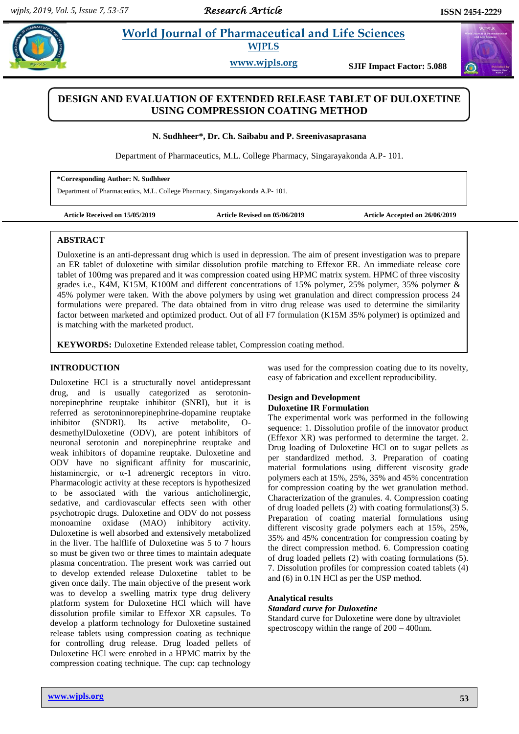# **Paramaceutical and Life Sciences WJPLS**

**www.wjpls.org SJIF Impact Factor: 5.088**

# **DESIGN AND EVALUATION OF EXTENDED RELEASE TABLET OF DULOXETINE USING COMPRESSION COATING METHOD**

**N. Sudhheer\*, Dr. Ch. Saibabu and P. Sreenivasaprasana**

Department of Pharmaceutics, M.L. College Pharmacy, Singarayakonda A.P- 101.

**\*Corresponding Author: N. Sudhheer**

Department of Pharmaceutics, M.L. College Pharmacy, Singarayakonda A.P- 101.

**Article Received on 15/05/2019 Article Revised on 05/06/2019 Article Accepted on 26/06/2019**

## **ABSTRACT**

Duloxetine is an anti-depressant drug which is used in depression. The aim of present investigation was to prepare an ER tablet of duloxetine with similar dissolution profile matching to Effexor ER. An immediate release core tablet of 100mg was prepared and it was compression coated using HPMC matrix system. HPMC of three viscosity grades i.e., K4M, K15M, K100M and different concentrations of 15% polymer, 25% polymer, 35% polymer & 45% polymer were taken. With the above polymers by using wet granulation and direct compression process 24 formulations were prepared. The data obtained from in vitro drug release was used to determine the similarity factor between marketed and optimized product. Out of all F7 formulation (K15M 35% polymer) is optimized and is matching with the marketed product.

**KEYWORDS:** Duloxetine Extended release tablet, Compression coating method.

## **INTRODUCTION**

Duloxetine HCl is a structurally novel antidepressant drug, and is usually categorized as serotoninnorepinephrine reuptake inhibitor (SNRI), but it is referred as serotoninnorepinephrine-dopamine reuptake inhibitor (SNDRI). Its active metabolite, OdesmethylDuloxetine (ODV), are potent inhibitors of neuronal serotonin and norepinephrine reuptake and weak inhibitors of dopamine reuptake. Duloxetine and ODV have no significant affinity for muscarinic, histaminergic, or  $\alpha$ -1 adrenergic receptors in vitro. Pharmacologic activity at these receptors is hypothesized to be associated with the various anticholinergic, sedative, and cardiovascular effects seen with other psychotropic drugs. Duloxetine and ODV do not possess monoamine oxidase (MAO) inhibitory activity. Duloxetine is well absorbed and extensively metabolized in the liver. The halflife of Duloxetine was 5 to 7 hours so must be given two or three times to maintain adequate plasma concentration. The present work was carried out to develop extended release Duloxetine tablet to be given once daily. The main objective of the present work was to develop a swelling matrix type drug delivery platform system for Duloxetine HCl which will have dissolution profile similar to Effexor XR capsules. To develop a platform technology for Duloxetine sustained release tablets using compression coating as technique for controlling drug release. Drug loaded pellets of Duloxetine HCl were enrobed in a HPMC matrix by the compression coating technique. The cup: cap technology

was used for the compression coating due to its novelty, easy of fabrication and excellent reproducibility.

## **Design and Development Duloxetine IR Formulation**

The experimental work was performed in the following sequence: 1. Dissolution profile of the innovator product (Effexor XR) was performed to determine the target. 2. Drug loading of Duloxetine HCl on to sugar pellets as per standardized method. 3. Preparation of coating material formulations using different viscosity grade polymers each at 15%, 25%, 35% and 45% concentration for compression coating by the wet granulation method. Characterization of the granules. 4. Compression coating of drug loaded pellets (2) with coating formulations(3) 5. Preparation of coating material formulations using different viscosity grade polymers each at 15%, 25%, 35% and 45% concentration for compression coating by the direct compression method. 6. Compression coating of drug loaded pellets (2) with coating formulations (5). 7. Dissolution profiles for compression coated tablets (4) and (6) in 0.1N HCl as per the USP method.

## **Analytical results**

### *Standard curve for Duloxetine*

Standard curve for Duloxetine were done by ultraviolet spectroscopy within the range of 200 – 400nm.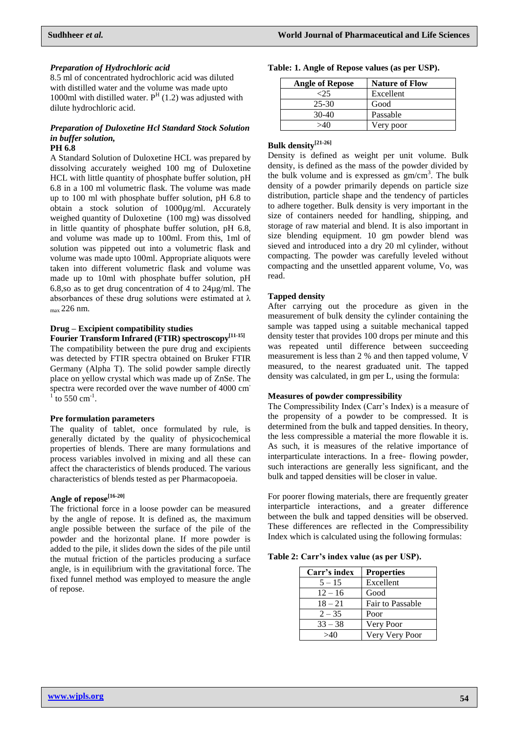#### *Preparation of Hydrochloric acid*

8.5 ml of concentrated hydrochloric acid was diluted with distilled water and the volume was made upto 1000ml with distilled water.  $P<sup>H</sup>$  (1.2) was adjusted with dilute hydrochloric acid.

### *Preparation of Duloxetine Hcl Standard Stock Solution in buffer solution,* **PH 6.8**

## A Standard Solution of Duloxetine HCL was prepared by dissolving accurately weighed 100 mg of Duloxetine HCL with little quantity of phosphate buffer solution, pH 6.8 in a 100 ml volumetric flask. The volume was made up to 100 ml with phosphate buffer solution, pH 6.8 to obtain a stock solution of 1000µg/ml. Accurately weighed quantity of Duloxetine (100 mg) was dissolved in little quantity of phosphate buffer solution, pH 6.8, and volume was made up to 100ml. From this, 1ml of solution was pippeted out into a volumetric flask and volume was made upto 100ml. Appropriate aliquots were taken into different volumetric flask and volume was made up to 10ml with phosphate buffer solution, pH 6.8,so as to get drug concentration of 4 to 24µg/ml. The absorbances of these drug solutions were estimated at  $\lambda$  $_{\text{max}}$  226 nm.

## **Drug – Excipient compatibility studies**

**Fourier Transform Infrared (FTIR) spectroscopy[11-15]** The compatibility between the pure drug and excipients was detected by FTIR spectra obtained on Bruker FTIR Germany (Alpha T). The solid powder sample directly place on yellow crystal which was made up of ZnSe. The spectra were recorded over the wave number of 4000 cm<sup>-1</sup> to 550 cm<sup>-1</sup>.

#### **Pre formulation parameters**

The quality of tablet, once formulated by rule, is generally dictated by the quality of physicochemical properties of blends. There are many formulations and process variables involved in mixing and all these can affect the characteristics of blends produced. The various characteristics of blends tested as per Pharmacopoeia.

# **Angle of repose[16-20]**

The frictional force in a loose powder can be measured by the angle of repose. It is defined as, the maximum angle possible between the surface of the pile of the powder and the horizontal plane. If more powder is added to the pile, it slides down the sides of the pile until the mutual friction of the particles producing a surface angle, is in equilibrium with the gravitational force. The fixed funnel method was employed to measure the angle of repose.

| Table: 1. Angle of Repose values (as per USP). |  |  |  |  |  |  |  |  |  |  |
|------------------------------------------------|--|--|--|--|--|--|--|--|--|--|
|------------------------------------------------|--|--|--|--|--|--|--|--|--|--|

| <b>Angle of Repose</b> | <b>Nature of Flow</b> |
|------------------------|-----------------------|
| $-25$                  | Excellent             |
| 25-30                  | Good                  |
| $30-40$                | Passable              |
| $\sim$ 40              | Very poor             |

# **Bulk density[21-26]**

Density is defined as weight per unit volume. Bulk density, is defined as the mass of the powder divided by the bulk volume and is expressed as  $gm/cm<sup>3</sup>$ . The bulk density of a powder primarily depends on particle size distribution, particle shape and the tendency of particles to adhere together. Bulk density is very important in the size of containers needed for handling, shipping, and storage of raw material and blend. It is also important in size blending equipment. 10 gm powder blend was sieved and introduced into a dry 20 ml cylinder, without compacting. The powder was carefully leveled without compacting and the unsettled apparent volume, Vo, was read.

### **Tapped density**

After carrying out the procedure as given in the measurement of bulk density the cylinder containing the sample was tapped using a suitable mechanical tapped density tester that provides 100 drops per minute and this was repeated until difference between succeeding measurement is less than 2 % and then tapped volume, V measured, to the nearest graduated unit. The tapped density was calculated, in gm per L, using the formula:

### **Measures of powder compressibility**

The Compressibility Index (Carr's Index) is a measure of the propensity of a powder to be compressed. It is determined from the bulk and tapped densities. In theory, the less compressible a material the more flowable it is. As such, it is measures of the relative importance of interparticulate interactions. In a free- flowing powder, such interactions are generally less significant, and the bulk and tapped densities will be closer in value.

For poorer flowing materials, there are frequently greater interparticle interactions, and a greater difference between the bulk and tapped densities will be observed. These differences are reflected in the Compressibility Index which is calculated using the following formulas:

**Table 2: Carr's index value (as per USP).**

| Carr's index | <b>Properties</b> |
|--------------|-------------------|
| $5 - 15$     | Excellent         |
| $12 - 16$    | Good              |
| $18 - 21$    | Fair to Passable  |
| $2 - 35$     | Poor              |
| $33 - 38$    | Very Poor         |
|              | Very Very Poor    |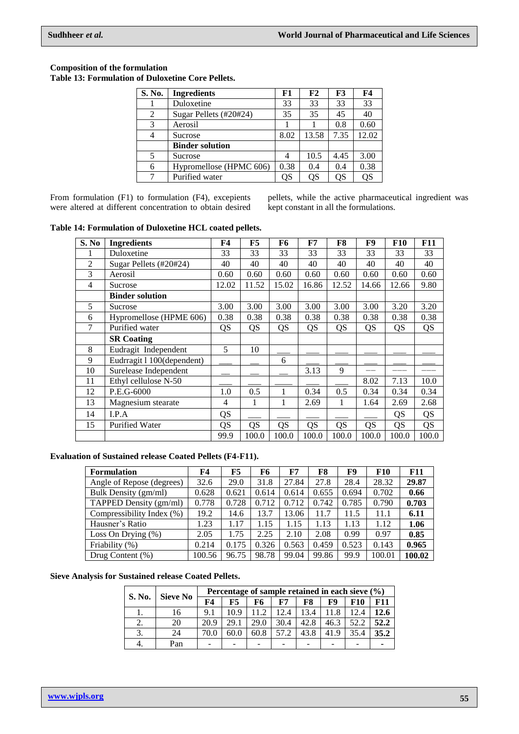### **Composition of the formulation Table 13: Formulation of Duloxetine Core Pellets.**

| S. No.         | <b>Ingredients</b>      | F1   | F2    | F <sub>3</sub> | F4    |
|----------------|-------------------------|------|-------|----------------|-------|
|                | Duloxetine              | 33   | 33    | 33             | 33    |
| $\overline{2}$ | Sugar Pellets (#20#24)  | 35   | 35    | 45             | 40    |
| 3              | Aerosil                 |      |       | 0.8            | 0.60  |
| 4              | Sucrose                 | 8.02 | 13.58 | 7.35           | 12.02 |
|                | <b>Binder solution</b>  |      |       |                |       |
| 5              | Sucrose                 |      | 10.5  | 4.45           | 3.00  |
| 6              | Hypromellose (HPMC 606) | 0.38 | 0.4   | 0.4            | 0.38  |
|                | Purified water          | OS   | OS    | OS             | QS    |

From formulation (F1) to formulation (F4), excepients were altered at different concentration to obtain desired pellets, while the active pharmaceutical ingredient was kept constant in all the formulations.

**Table 14: Formulation of Duloxetine HCL coated pellets.**

| S. No          | <b>Ingredients</b>         | F4    | F5        | F6        | F7    | F8        | F9    | <b>F10</b> | <b>F11</b> |
|----------------|----------------------------|-------|-----------|-----------|-------|-----------|-------|------------|------------|
|                | Duloxetine                 | 33    | 33        | 33        | 33    | 33        | 33    | 33         | 33         |
| $\overline{2}$ | Sugar Pellets (#20#24)     | 40    | 40        | 40        | 40    | 40        | 40    | 40         | 40         |
| 3              | Aerosil                    | 0.60  | 0.60      | 0.60      | 0.60  | 0.60      | 0.60  | 0.60       | 0.60       |
| 4              | Sucrose                    | 12.02 | 11.52     | 15.02     | 16.86 | 12.52     | 14.66 | 12.66      | 9.80       |
|                | <b>Binder solution</b>     |       |           |           |       |           |       |            |            |
| 5              | Sucrose                    | 3.00  | 3.00      | 3.00      | 3.00  | 3.00      | 3.00  | 3.20       | 3.20       |
| 6              | Hypromellose (HPME 606)    | 0.38  | 0.38      | 0.38      | 0.38  | 0.38      | 0.38  | 0.38       | 0.38       |
| 7              | Purified water             | QS    | QS        | QS        | QS    | <b>QS</b> | QS    | QS         | QS         |
|                | <b>SR</b> Coating          |       |           |           |       |           |       |            |            |
| 8              | Eudragit Independent       | 5     | 10        |           |       |           |       |            |            |
| 9              | Eudrragit 1 100(dependent) |       |           | 6         |       |           |       |            |            |
| 10             | Surelease Independent      |       |           |           | 3.13  | 9         |       |            |            |
| 11             | Ethyl cellulose N-50       |       |           |           |       |           | 8.02  | 7.13       | 10.0       |
| 12             | P.E.G-6000                 | 1.0   | 0.5       | 1         | 0.34  | 0.5       | 0.34  | 0.34       | 0.34       |
| 13             | Magnesium stearate         | 4     | 1         | 1         | 2.69  | 1         | 1.64  | 2.69       | 2.68       |
| 14             | I.P.A                      | QS    |           |           |       |           |       | QS         | <b>QS</b>  |
| 15             | <b>Purified Water</b>      | QS    | <b>QS</b> | <b>QS</b> | QS    | QS        | QS    | QS         | <b>QS</b>  |
|                |                            | 99.9  | 100.0     | 100.0     | 100.0 | 100.0     | 100.0 | 100.0      | 100.0      |

**Evaluation of Sustained release Coated Pellets (F4-F11).**

| <b>Formulation</b>        | F4     | F5    | F6    | ${\bf F7}$ | F8    | F9    | <b>F10</b> | <b>F11</b> |
|---------------------------|--------|-------|-------|------------|-------|-------|------------|------------|
| Angle of Repose (degrees) | 32.6   | 29.0  | 31.8  | 27.84      | 27.8  | 28.4  | 28.32      | 29.87      |
| Bulk Density (gm/ml)      | 0.628  | 0.621 | 0.614 | 0.614      | 0.655 | 0.694 | 0.702      | 0.66       |
| TAPPED Density (gm/ml)    | 0.778  | 0.728 | 0.712 | 0.712      | 0.742 | 0.785 | 0.790      | 0.703      |
| Compressibility Index (%) | 19.2   | 14.6  | 13.7  | 13.06      | 11.7  | 11.5  | 11.1       | 6.11       |
| Hausner's Ratio           | .23    | 1.17  | 1.15  | 1.15       | 1.13  | 1.13  | 1.12       | 1.06       |
| Loss On Drying $(\%)$     | 2.05   | 1.75  | 2.25  | 2.10       | 2.08  | 0.99  | 0.97       | 0.85       |
| Friability (%)            | 0.214  | 0.175 | 0.326 | 0.563      | 0.459 | 0.523 | 0.143      | 0.965      |
| Drug Content $(\%)$       | 100.56 | 96.75 | 98.78 | 99.04      | 99.86 | 99.9  | 100.01     | 100.02     |

## **Sieve Analysis for Sustained release Coated Pellets.**

| S. No. |                 |      |      |      | Percentage of sample retained in each sieve $(\% )$ |      |      |            |      |
|--------|-----------------|------|------|------|-----------------------------------------------------|------|------|------------|------|
|        | <b>Sieve No</b> | F4   | F5.  | F6   | F7                                                  | F8   | F9   | <b>F10</b> | F11  |
|        | 16              | 9.1  | 10.9 | 11.2 | 12.4                                                | 13.4 | 11.8 | 12.4       | 12.6 |
|        | 20              | 20.9 | 29.1 | 29.0 | 30.4                                                | 42.8 | 46.3 | 52.2       | 52.2 |
|        | 24              | 70.0 | 60.0 | 60.8 | 57.2                                                | 43.8 | 41.9 | 35.4       | 35.2 |
|        | Pan             |      |      |      |                                                     |      |      |            |      |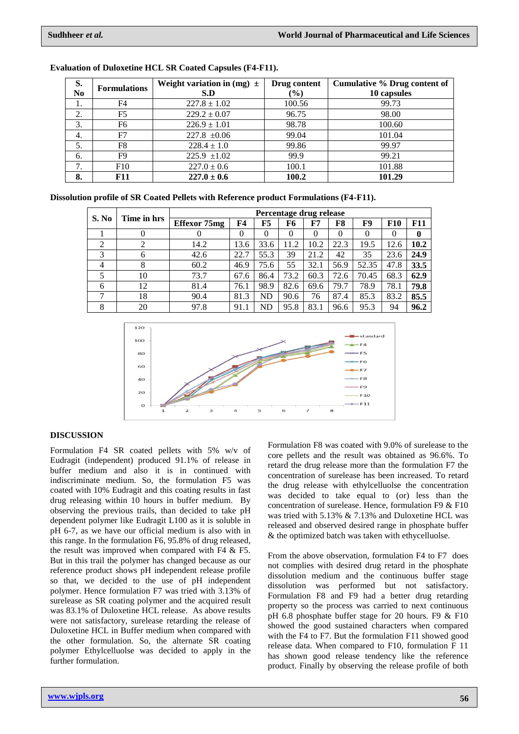| S.             | <b>Formulations</b> | Weight variation in (mg) $\pm$ | Drug content | Cumulative % Drug content of |
|----------------|---------------------|--------------------------------|--------------|------------------------------|
| N <sub>0</sub> |                     | S.D                            | $(\%)$       | 10 capsules                  |
|                | F4                  | $227.8 \pm 1.02$               | 100.56       | 99.73                        |
| 2.             | F5                  | $229.2 \pm 0.07$               | 96.75        | 98.00                        |
| 3.             | F6                  | $226.9 \pm 1.01$               | 98.78        | 100.60                       |
| 4.             | F7                  | $227.8 \pm 0.06$               | 99.04        | 101.04                       |
| 5.             | F8                  | $228.4 \pm 1.0$                | 99.86        | 99.97                        |
| 6.             | F9                  | $225.9 \pm 1.02$               | 99.9         | 99.21                        |
| 7.             | F10                 | $227.0 \pm 0.6$                | 100.1        | 101.88                       |
| 8.             | <b>F11</b>          | $227.0 \pm 0.6$                | 100.2        | 101.29                       |

| <b>Evaluation of Duloxetine HCL SR Coated Capsules (F4-F11).</b> |  |  |  |  |
|------------------------------------------------------------------|--|--|--|--|
|------------------------------------------------------------------|--|--|--|--|

|  | Dissolution profile of SR Coated Pellets with Reference product Formulations (F4-F11). |  |
|--|----------------------------------------------------------------------------------------|--|
|--|----------------------------------------------------------------------------------------|--|

| S. No | Time in hrs |              |          |      |      | Percentage drug release |      |       |            |            |
|-------|-------------|--------------|----------|------|------|-------------------------|------|-------|------------|------------|
|       |             | Effexor 75mg | F4       | F5   | F6   | F7                      | F8   | F9    | <b>F10</b> | <b>F11</b> |
|       |             |              | $\theta$ |      | 0    | 0                       |      |       |            | $\bf{0}$   |
| ↑     |             | 14.2         | 13.6     | 33.6 | 11.2 | 10.2                    | 22.3 | 19.5  | 12.6       | 10.2       |
|       | 6           | 42.6         | 22.7     | 55.3 | 39   | 21.2                    | 42   | 35    | 23.6       | 24.9       |
| 4     | 8           | 60.2         | 46.9     | 75.6 | 55   | 32.1                    | 56.9 | 52.35 | 47.8       | 33.5       |
|       | 10          | 73.7         | 67.6     | 86.4 | 73.2 | 60.3                    | 72.6 | 70.45 | 68.3       | 62.9       |
| 6     | 12          | 81.4         | 76.1     | 98.9 | 82.6 | 69.6                    | 79.7 | 78.9  | 78.1       | 79.8       |
|       | 18          | 90.4         | 81.3     | ND   | 90.6 | 76                      | 87.4 | 85.3  | 83.2       | 85.5       |
| 8     | 20          | 97.8         | 91.1     | ND   | 95.8 | 83.1                    | 96.6 | 95.3  | 94         | 96.2       |



### **DISCUSSION**

Formulation F4 SR coated pellets with 5% w/v of Eudragit (independent) produced 91.1% of release in buffer medium and also it is in continued with indiscriminate medium. So, the formulation F5 was coated with 10% Eudragit and this coating results in fast drug releasing within 10 hours in buffer medium. By observing the previous trails, than decided to take pH dependent polymer like Eudragit L100 as it is soluble in pH 6-7, as we have our official medium is also with in this range. In the formulation F6, 95.8% of drug released, the result was improved when compared with F4 & F5. But in this trail the polymer has changed because as our reference product shows pH independent release profile so that, we decided to the use of pH independent polymer. Hence formulation F7 was tried with 3.13% of surelease as SR coating polymer and the acquired result was 83.1% of Duloxetine HCL release. As above results were not satisfactory, surelease retarding the release of Duloxetine HCL in Buffer medium when compared with the other formulation. So, the alternate SR coating polymer Ethylcelluolse was decided to apply in the further formulation.

Formulation F8 was coated with 9.0% of surelease to the core pellets and the result was obtained as 96.6%. To retard the drug release more than the formulation F7 the concentration of surelease has been increased. To retard the drug release with ethylcelluolse the concentration was decided to take equal to (or) less than the concentration of surelease. Hence, formulation F9 & F10 was tried with 5.13% & 7.13% and Duloxetine HCL was released and observed desired range in phosphate buffer & the optimized batch was taken with ethycelluolse.

From the above observation, formulation F4 to F7 does not complies with desired drug retard in the phosphate dissolution medium and the continuous buffer stage dissolution was performed but not satisfactory. Formulation F8 and F9 had a better drug retarding property so the process was carried to next continuous pH 6.8 phosphate buffer stage for 20 hours. F9 & F10 showed the good sustained characters when compared with the F4 to F7. But the formulation F11 showed good release data. When compared to F10, formulation F 11 has shown good release tendency like the reference product. Finally by observing the release profile of both